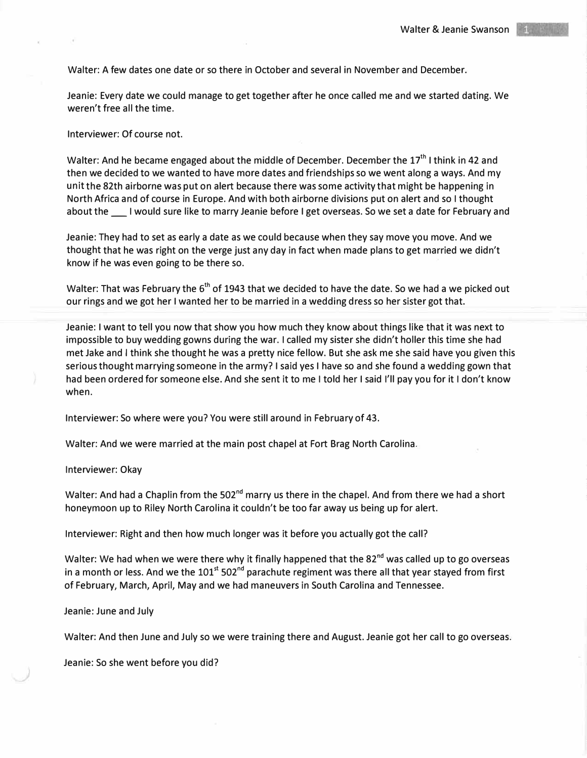Walter: A few dates one date or so there in October and several in November and December.

Jeanie: Every date we could manage to get together after he once called me and we started dating. We weren't free all the time.

Interviewer: Of course not.

Walter: And he became engaged about the middle of December. December the  $17<sup>th</sup>$  I think in 42 and then we decided to we wanted to have more dates and friendships so we went along a ways. And my unit the 82th airborne was put on alert because there was some activity that might be happening in North Africa and of course in Europe. And with both airborne divisions put on alert and so I thought about the I would sure like to marry Jeanie before I get overseas. So we set a date for February and

Jeanie: They had to set as early a date as we could because when they say move you move. And we thought that he was right on the verge just any day in fact when made plans to get married we didn't know if he was even going to be there so.

Walter: That was February the 6<sup>th</sup> of 1943 that we decided to have the date. So we had a we picked out our rings and we got her I wanted her to be married in a wedding dress so her sister got that.

Jeanie: I want to tell you now that show you how much they know about things like that it was next to impossible to buy wedding gowns during the war. I called my sister she didn't holler this time she had met Jake and I think she thought he was a pretty nice fellow. But she ask me she said have you given this serious thought marrying someone in the army? I said yes I have so and she found a wedding gown that had been ordered for someone else. And she sent it to me I told her I said I'll pay you for it I don't know when.

Interviewer: So where were you? You were still around in February of 43.

Walter: And we were married at the main post chapel at Fort Brag North Carolina.

Interviewer: Okay

Walter: And had a Chaplin from the 502<sup>nd</sup> marry us there in the chapel. And from there we had a short honeymoon up to Riley North Carolina it couldn't be too far away us being up for alert.

Interviewer: Right and then how much longer was it before you actually got the call?

Walter: We had when we were there why it finally happened that the 82<sup>nd</sup> was called up to go overseas in a month or less. And we the 101<sup>st</sup> 502<sup>nd</sup> parachute regiment was there all that year stayed from first of February, March, April, May and we had maneuvers in South Carolina and Tennessee.

Jeanie: June and July

Walter: And then June and July so we were training there and August. Jeanie got her call to go overseas.

Jeanie: So she went before you did?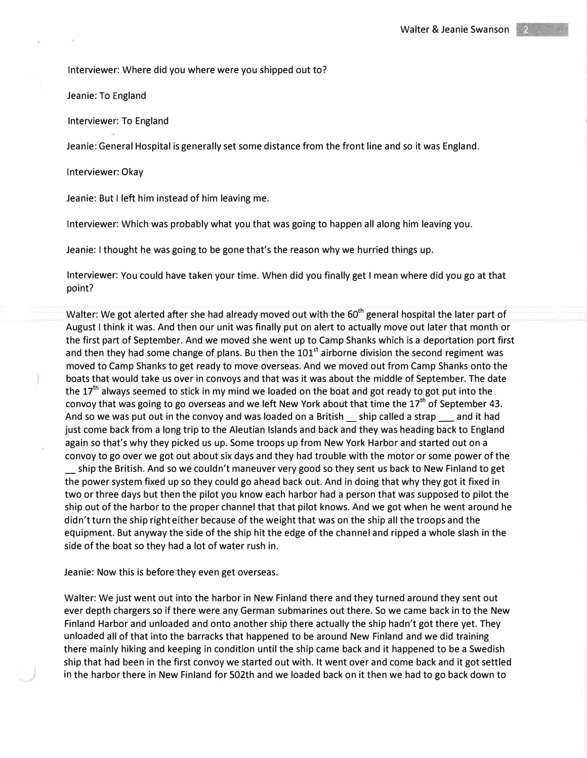Interviewer: Where did you where were you shipped out to?

Jeanie: To England

Interviewer: To England

Jeanie: General Hospital is generally set some distance from the front line and so it was England.

Interviewer: Okay

Jeanie: But I left him instead of him leaving me.

Interviewer: Which was probably what you that was going to happen all along him leaving you.

Jeanie: I thought he was going to be gone that's the reason why we hurried things up.

Interviewer: You could have taken your time. When did you finally get I mean where did you go at that point?

Walter: We got alerted after she had already moved out with the 60<sup>th</sup> general hospital the later part of August I think it was. And then our unit was finally put on alert to actually move out later that month or the first part of September. And we moved she went up to Camp Shanks which is a deportation port first and then they had some change of plans. Bu then the  $101<sup>st</sup>$  airborne division the second regiment was moved to Camp Shanks to get ready to move overseas. And we moved out from Camp Shanks onto the boats that would take us over in convoys and that was it was about the middle of September. The date the  $17<sup>th</sup>$  always seemed to stick in my mind we loaded on the boat and got ready to got put into the convoy that was going to go overseas and we left New York about that time the  $17<sup>th</sup>$  of September 43. And so we was put out in the convoy and was loaded on a British ship called a strap \_\_\_ and it had just come back from a long trip to the Aleutian Islands and back and they was heading back to England again so that's why they picked us up. Some troops up from New York Harbor and started out on a convoy to go over we got out about six days and they had trouble with the motor or some power of the \_ ship the British. And so we couldn't maneuver very good so they sent us back to New Finland to get the power system fixed up so they could go ahead back out. And in doing that why they got it fixed in two or three days but then the pilot you know each harbor had a person that was supposed to pilot the ship out of the harbor to the proper channel that that pilot knows. And we got when he went around he didn't turn the ship right either because of the weight that was on the ship all the troops and the equipment. But anyway the side of the ship hit the edge of the channel and ripped a whole slash in the side of the boat so they had a lot of water rush in.

Jeanie: Now this is before they even get overseas.

Walter: We just went out into the harbor in New Finland there and they turned around they sent out ever depth chargers so if there were any German submarines out there. So we came back in to the New Finland Harbor and unloaded and onto another ship there actually the ship hadn't got there yet. They unloaded all of that into the barracks that happened to be around New Finland and we did training there mainly hiking and keeping in condition until the ship came back and it happened to be a Swedish ship that had been in the first convoy we started out with. It went over and come back and it got settled in the harbor there in New Finland for 502th and we loaded back on it then we had to go back down to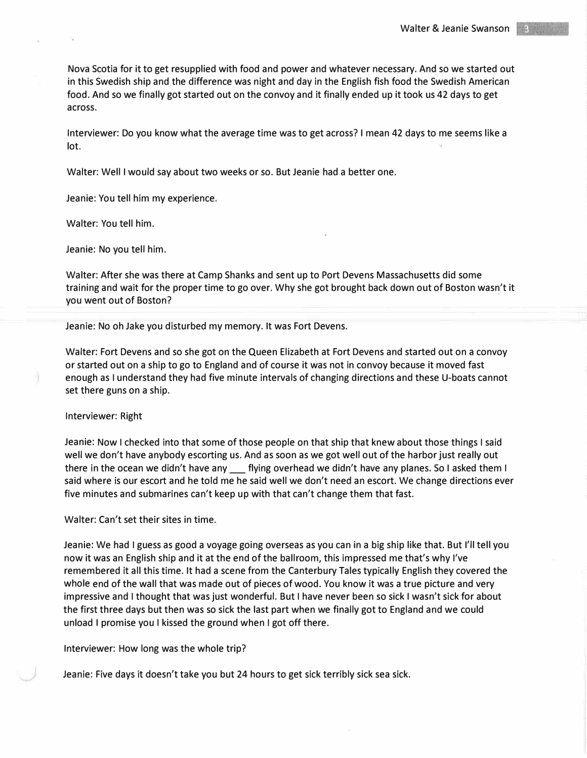Nova Scotia for it to get resupplied with food and power and whatever necessary. And so we started out in this Swedish ship and the difference was night and day in the English fish food the Swedish American food. And so we finally got started out on the convoy and it finally ended up it took us 42 days to get across.

Interviewer: Do you know what the average time was to get across? I mean 42 days to me seems like a lot.

Walter: Well I would say about two weeks or so. But Jeanie had a better one.

Jeanie: You tell him my experience.

Walter: You tell him.

Jeanie: No you tell him.

Walter: After she was there at Camp Shanks and sent up to Port Devens Massachusetts did some training and wait for the proper time to go over. Why she got brought back down out of Boston wasn't it you went out of Boston?

Jeanie: No oh Jake you disturbed my memory. It was Fort Devens.

Walter: Fort Devens and so she got on the Queen Elizabeth at Fort Devens and started out on a convoy or started out on a ship to go to England and of course it was not in convoy because it moved fast enough as I understand they had five minute intervals of changing directions and these U-boats cannot set there guns on a ship.

Interviewer: Right

Jeanie: Now I checked into that some of those people on that ship that knew about those things I said well we don't have anybody escorting us. And as soon as we got well out of the harbor just really out there in the ocean we didn't have any \_\_ flying overhead we didn't have any planes. So I asked them I said where is our escort and he told me he said well we don't need an escort. We change directions ever five minutes and submarines can't keep up with that can't change them that fast.

Walter: Can't set their sites in time.

Jeanie: We had I guess as good a voyage going overseas as you can in a big ship like that. But I'll tell you now it was an English ship and it at the end of the ballroom, this impressed me that's why I've remembered it all this time. It had a scene from the Canterbury Tales typically English they covered the whole end of the wall that was made out of pieces of wood. You know it was a true picture and very impressive and I thought that was just wonderful. But I have never been so sick I wasn't sick for about the first three days but then was so sick the last part when we finally got to England and we could unload I promise you I kissed the ground when I got off there.

Interviewer: How long was the whole trip?

Jeanie: Five days it doesn't take you but 24 hours to get sick terribly sick sea sick.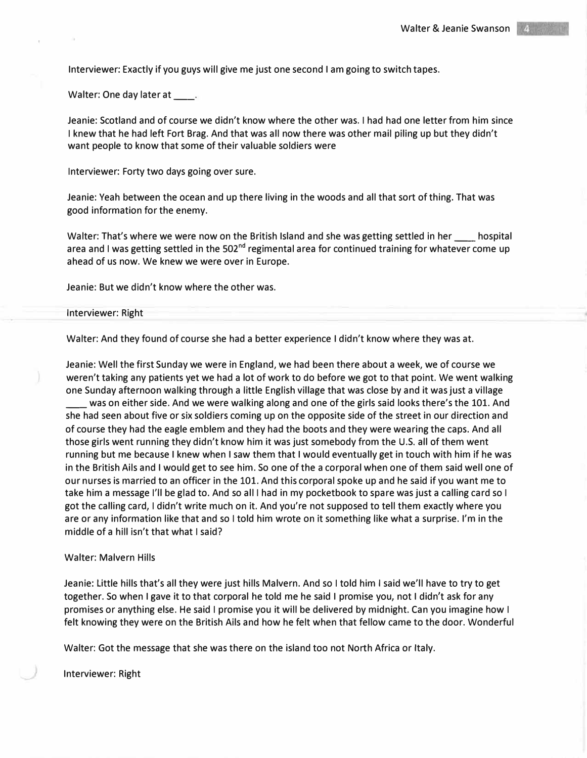Interviewer: Exactly if you guys will give me just one second I am going to switch tapes.

Walter: One day later at \_\_\_\_\_.

Jeanie: Scotland and of course we didn't know where the other was. I had had one letter from him since I knew that he had left Fort Brag. And that was all now there was other mail piling up but they didn't want people to know that some of their valuable soldiers were

Interviewer: Forty two days going over sure.

Jeanie: Yeah between the ocean and up there living in the woods and all that sort of thing. That was good information for the enemy.

Walter: That's where we were now on the British Island and she was getting settled in her hospital area and I was getting settled in the  $502<sup>nd</sup>$  regimental area for continued training for whatever come up ahead of us now. We knew we were over in Europe.

Jeanie: But we didn't know where the other was.

### Interviewer: Right

Walter: And they found of course she had a better experience I didn't know where they was at.

Jeanie: Well the first Sunday we were in England, we had been there about a week, we of course we weren't taking any patients yet we had a lot of work to do before we got to that point. We went walking one Sunday afternoon walking through a little English village that was close by and it was just a village was on either side. And we were walking along and one of the girls said looks there's the 101. And she had seen about five or six soldiers coming up on the opposite side of the street in our direction and of course they had the eagle emblem and they had the boots and they were wearing the caps. And all those girls went running they didn't know him it was just somebody from the U.S. all of them went running but me because I knew when I saw them that I would eventually get in touch with him if he was in the British Ails and I would get to see him. So one of the a corporal when one of them said well one of our nurses is married to an officer in the 101. And this corporal spoke up and he said if you want me to take him a message I'll be glad to. And so all I had in my pocketbook to spare was just a calling card so I got the calling card, I didn't write much on it. And you're not supposed to tell them exactly where you are or any information like that and so I told him wrote on it something like what a surprise. I'm in the middle of a hill isn't that what I said?

### Walter: Malvern Hills

Jeanie: Little hills that's all they were just hills Malvern. And so I told him I said we'll have to try to get together. So when I gave it to that corporal he told me he said I promise you, not I didn't ask for any promises or anything else. He said I promise you it will be delivered by midnight. Can you imagine how I felt knowing they were on the British Ails and how he felt when that fellow came to the door. Wonderful

Walter: Got the message that she was there on the island too not North Africa or Italy.

Interviewer: Right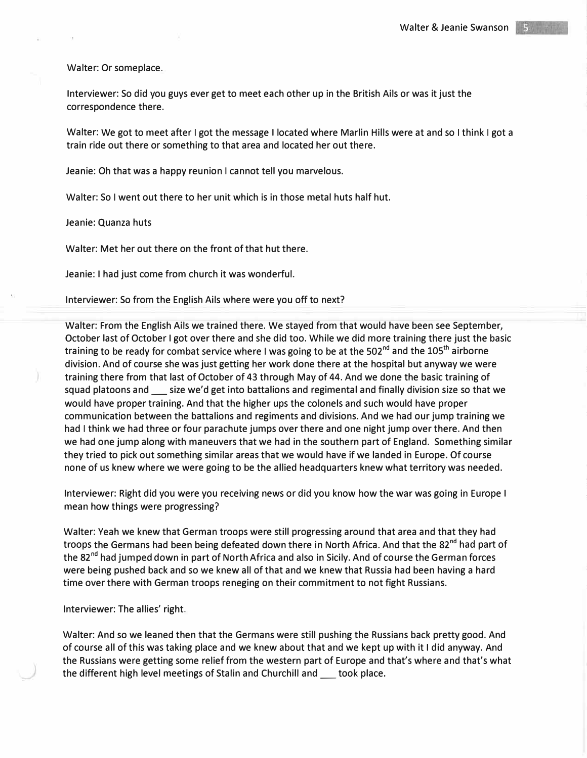Walter: Or someplace.

Interviewer: So did you guys ever get to meet each other up in the British Ails or was it just the correspondence there.

Walter: We got to meet after I got the message I located where Marlin Hills were at and so I think I got a train ride out there or something to that area and located her out there.

Jeanie: Oh that was a happy reunion I cannot tell you marvelous.

Walter: So I went out there to her unit which is in those metal huts half hut.

Jeanie: Quanza huts

Walter: Met her out there on the front of that hut there.

Jeanie: I had just come from church it was wonderful.

Interviewer: So from the English Ails where were you off to next?

Walter: From the English Ails we trained there. We stayed from that would have been see September, October last of October I got over there and she did too. While we did more training there just the basic training to be ready for combat service where I was going to be at the 502<sup>nd</sup> and the 105<sup>th</sup> airborne division. And of course she was just getting her work done there at the hospital but anyway we were training there from that last of October of 43 through May of 44. And we done the basic training of squad platoons and \_\_\_ size we'd get into battalions and regimental and finally division size so that we would have proper training. And that the higher ups the colonels and such would have proper communication between the battalions and regiments and divisions. And we had our jump training we had I think we had three or four parachute jumps over there and one night jump over there. And then we had one jump along with maneuvers that we had in the southern part of England. Something similar they tried to pick out something similar areas that we would have if we landed in Europe. Of course none of us knew where we were going to be the allied headquarters knew what territory was needed.

Interviewer: Right did you were you receiving news or did you know how the war was going in Europe I mean how things were progressing?

Walter: Yeah we knew that German troops were still progressing around that area and that they had troops the Germans had been being defeated down there in North Africa. And that the 82<sup>nd</sup> had part of the 82<sup>nd</sup> had jumped down in part of North Africa and also in Sicily. And of course the German forces were being pushed back and so we knew all of that and we knew that Russia had been having a hard time over there with German troops reneging on their commitment to not fight Russians.

Interviewer: The allies' right.

Walter: And so we leaned then that the Germans were still pushing the Russians back pretty good. And of course all of this was taking place and we knew about that and we kept up with it I did anyway. And the Russians were getting some relief from the western part of Europe and that's where and that's what the different high level meetings of Stalin and Churchill and \_\_\_ took place.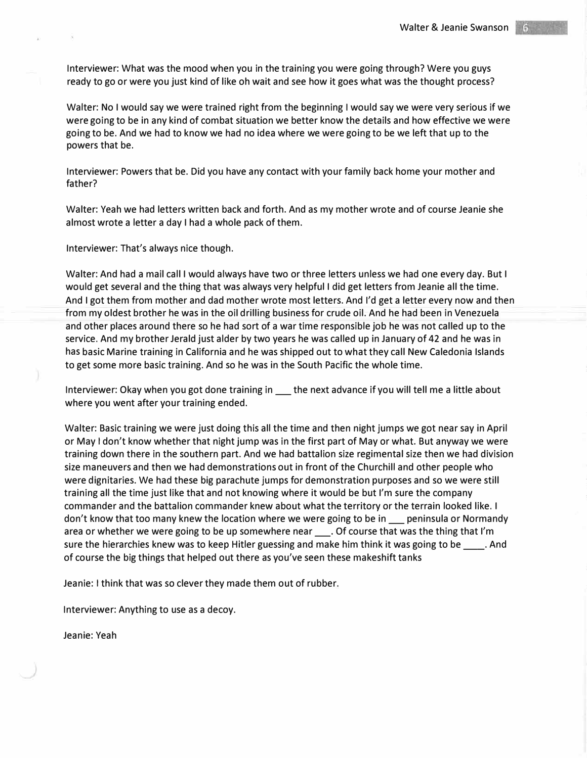Interviewer: What was the mood when you in the training you were going through? Were you guys ready to go or were you just kind of like oh wait and see how it goes what was the thought process?

Walter: No I would say we were trained right from the beginning I would say we were very serious if we were going to be in any kind of combat situation we better know the details and how effective we were going to be. And we had to know we had no idea where we were going to be we left that up to the powers that be.

Interviewer: Powers that be. Did you have any contact with your family back home your mother and father?

Walter: Yeah we had letters written back and forth. And as my mother wrote and of course Jeanie she almost wrote a letter a day I had a whole pack of them.

Interviewer: That's always nice though.

Walter: And had a mail call I would always have two or three letters unless we had one every day. But I would get several and the thing that was always very helpful I did get letters from Jeanie all the time. And I got them from mother and dad mother wrote most letters. And I'd get a letter every now and then from my oldest brother he was in the oil drilling business for crude oil. And he had been in Venezuela and other places around there so he had sort of a war time responsible job he was not called up to the service. And my brother Jerald just alder by two years he was called up in January of 42 and he was in has basic Marine training in California and he was shipped out to what they call New Caledonia Islands to get some more basic training. And so he was in the South Pacific the whole time.

Interviewer: Okay when you got done training in \_\_\_\_ the next advance if you will tell me a little about where you went after your training ended.

Walter: Basic training we were just doing this all the time and then night jumps we got near say in April or May I don't know whether that night jump was in the first part of May or what. But anyway we were training down there in the southern part. And we had battalion size regimental size then we had division size maneuvers and then we had demonstrations out in front of the Churchill and other people who were dignitaries. We had these big parachute jumps for demonstration purposes and so we were still training all the time just like that and not knowing where it would be but I'm sure the company commander and the battalion commander knew about what the territory or the terrain looked like. I don't know that too many knew the location where we were going to be in sumenisula or Normandy area or whether we were going to be up somewhere near \_\_\_\_. Of course that was the thing that I'm sure the hierarchies knew was to keep Hitler guessing and make him think it was going to be \_\_\_\_\_. And of course the big things that helped out there as you've seen these makeshift tanks

Jeanie: I think that was so clever they made them out of rubber.

Interviewer: Anything to use as a decoy.

Jeanie: Yeah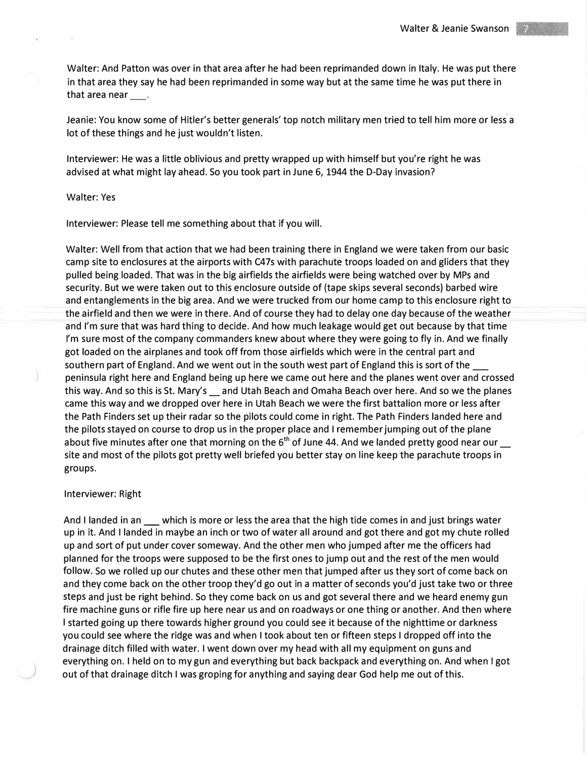Walter: And Patton was over in that area after he had been reprimanded down in Italy. He was put there in that area they say he had been reprimanded in some way but at the same time he was put there in that area near  $\_\_\_\_\cdot$ 

Jeanie: You know some of Hitler's better generals' top notch military men tried to tell him more or less a lot of these things and he just wouldn't listen.

Interviewer: He was a little oblivious and pretty wrapped up with himself but you're right he was advised at what might lay ahead. So you took part in June 6, 1944 the D-Day invasion?

# Walter: Yes

Interviewer: Please tell me something about that if you will.

Walter: Well from that action that we had been training there in England we were taken from our basic camp site to enclosures at the airports with C47s with parachute troops loaded on and gliders that they pulled being loaded. That was in the big airfields the airfields were being watched over by MPs and security. But we were taken out to this enclosure outside of (tape skips several seconds) barbed wire and entanglements in the big area. And we were trucked from our home camp to this enclosure right to the airfield and then we were in there. And of course they had to delay one day because of the weather and I'm sure that was hard thing to decide. And how much leakage would get out because by that time I'm sure most of the company commanders knew about where they were going to fly in. And we finally got loaded on the airplanes and took off from those airfields which were in the central part and southern part of England. And we went out in the south west part of England this is sort of the\_ peninsula right here and England being up here we came out here and the planes went over and crossed this way. And so this is St. Mary's\_ and Utah Beach and Omaha Beach over here. And so we the planes came this way and we dropped over here in Utah Beach we were the first battalion more or less after the Path Finders set up their radar so the pilots could come in right. The Path Finders landed here and the pilots stayed on course to drop us in the proper place and I remember jumping out of the plane about five minutes after one that morning on the 6<sup>th</sup> of June 44. And we landed pretty good near our  $\_$ site and most of the pilots got pretty well briefed you better stay on line keep the parachute troops in groups.

# Interviewer: Right

And I landed in an  $\_\_\_$  which is more or less the area that the high tide comes in and just brings water up in it. And I landed in maybe an inch or two of water all around and got there and got my chute rolled up and sort of put under cover someway. And the other men who jumped after me the officers had planned for the troops were supposed to be the first ones to jump out and the rest of the men would follow. So we rolled up our chutes and these other men that jumped after us they sort of come back on and they come back on the other troop they'd go out in a matter of seconds you'd just take two or three steps and just be right behind. So they come back on us and got several there and we heard enemy gun fire machine guns or rifle fire up here near us and on roadways or one thing or another. And then where I started going up there towards higher ground you could see it because of the nighttime or darkness you could see where the ridge was and when I took about ten or fifteen steps I dropped off into the drainage ditch filled with water. I went down over my head with all my equipment on guns and everything on. I held on to my gun and everything but back backpack and everything on. And when I got out of that drainage ditch I was groping for anything and saying dear God help me out of this.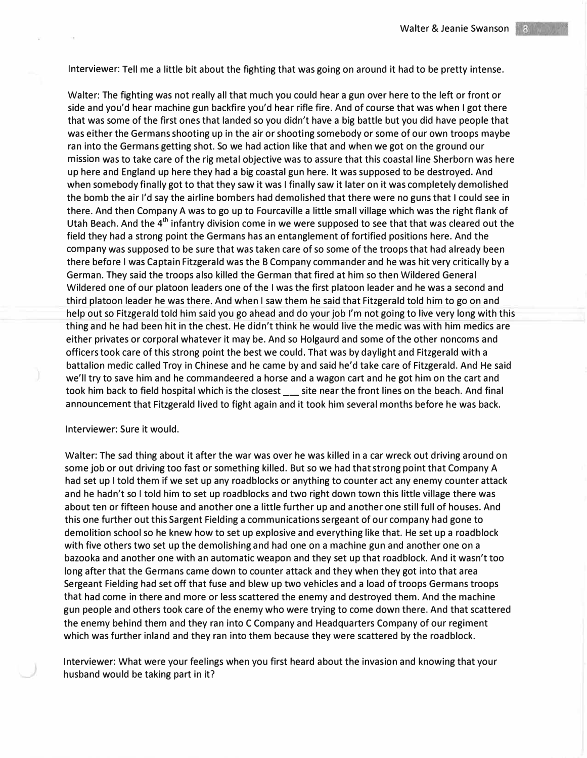Interviewer: Tell me a little bit about the fighting that was going on around it had to be pretty intense.

Walter: The fighting was not really all that much you could hear a gun over here to the left or front or side and you'd hear machine gun backfire you'd hear rifle fire. And of course that was when I got there that was some of the first ones that landed so you didn't have a big battle but you did have people that was either the Germans shooting up in the air or shooting somebody or some of our own troops maybe ran into the Germans getting shot. So we had action like that and when we got on the ground our mission was to take care of the rig metal objective was to assure that this coastal line Sherborn was here up here and England up here they had a big coastal gun here. It was supposed to be destroyed. And when somebody finally got to that they saw it was I finally saw it later on it was completely demolished the bomb the air I'd say the airline bombers had demolished that there were no guns that I could see in there. And then Company A was to go up to Fourcaville a little small village which was the right flank of Utah Beach. And the  $4^{\mathsf{tn}}$  infantry division come in we were supposed to see that that was cleared out the field they had a strong point the Germans has an entanglement of fortified positions here. And the company was supposed to be sure that was taken care of so some of the troops that had already been there before I was Captain Fitzgerald was the B Company commander and he was hit very critically by a German. They said the troops also killed the German that fired at him so then Wildered General Wildered one of our platoon leaders one of the I was the first platoon leader and he was a second and third platoon leader he was there. And when I saw them he said that Fitzgerald told him to go on and help out so Fitzgerald told him said you go ahead and do your job I'm not going to live very long with this thing and he had been hit in the chest. He didn't think he would live the medic was with him medics are either privates or corporal whatever it may be. And so Holgaurd and some of the other noncoms and officers took care of this strong point the best we could. That was by daylight and Fitzgerald with a battalion medic called Troy in Chinese and he came by and said he'd take care of Fitzgerald. And He said we'll try to save him and he commandeered a horse and a wagon cart and he got him on the cart and took him back to field hospital which is the closest saite near the front lines on the beach. And final announcement that Fitzgerald lived to fight again and it took him several months before he was back.

## Interviewer: Sure it would.

Walter: The sad thing about it after the war was over he was killed in a car wreck out driving around on some job or out driving too fast or something killed. But so we had that strong point that Company A had set up I told them if we set up any roadblocks or anything to counter act any enemy counter attack and he hadn't so I told him to set up roadblocks and two right down town this little village there was about ten or fifteen house and another one a little further up and another one still full of houses. And this one further out this Sargent Fielding a communications sergeant of our company had gone to demolition school so he knew how to set up explosive and everything like that. He set up a roadblock with five others two set up the demolishing and had one on a machine gun and another one on a bazooka and another one with an automatic weapon and they set up that roadblock. And it wasn't too long after that the Germans came down to counter attack and they when they got into that area Sergeant Fielding had set off that fuse and blew up two vehicles and a load of troops Germans troops that had come in there and more or less scattered the enemy and destroyed them. And the machine gun people and others took care of the enemy who were trying to come down there. And that scattered the enemy behind them and they ran into C Company and Headquarters Company of our regiment which was further inland and they ran into them because they were scattered by the roadblock.

Interviewer: What were your feelings when you first heard about the invasion and knowing that your husband would be taking part in it?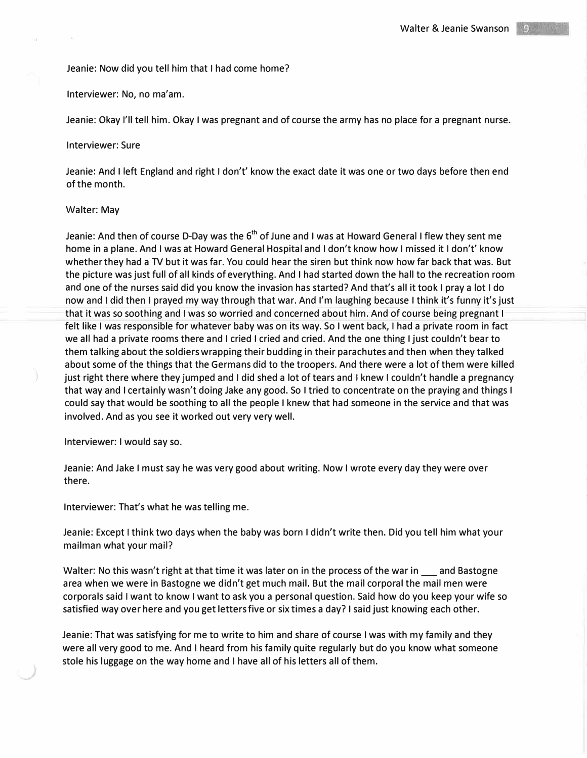# Jeanie: Now did you tell him that I had come home?

## Interviewer: No, no ma'am.

Jeanie: Okay I'll tell him. Okay I was pregnant and of course the army has no place for a pregnant nurse.

### Interviewer: Sure

Jeanie: And I left England and right I don't' know the exact date it was one or two days before then end of the month.

### Walter: May

Jeanie: And then of course D-Day was the 6<sup>th</sup> of June and I was at Howard General I flew they sent me home in a plane. And I was at Howard General Hospital and I don't know how I missed it I don't' know whether they had a TV but it was far. You could hear the siren but think now how far back that was. But the picture was just full of all kinds of everything. And I had started down the hall to the recreation room and one of the nurses said did you know the invasion has started? And that's all it took I pray a lot I do now and I did then I prayed my way through that war. And I'm laughing because I think it's funny it's just that it was so soothing and I was so worried and concerned about him. And of course being pregnant I felt like I was responsible for whatever baby was on its way. So I went back, I had a private room in fact we all had a private rooms there and I cried I cried and cried. And the one thing I just couldn't bear to them talking about the soldiers wrapping their budding in their parachutes and then when they talked about some of the things that the Germans did to the troopers. And there were a lot of them were killed just right there where they jumped and I did shed a lot of tears and I knew I couldn't handle a pregnancy that way and I certainly wasn't doing Jake any good. So I tried to concentrate on the praying and things I could say that would be soothing to all the people I knew that had someone in the service and that was involved. And as you see it worked out very very well.

Interviewer: I would say so.

Jeanie: And Jake I must say he was very good about writing. Now I wrote every day they were over there.

Interviewer: That's what he was telling me.

Jeanie: Except I think two days when the baby was born I didn't write then. Did you tell him what your mailman what your mail?

Walter: No this wasn't right at that time it was later on in the process of the war in 1 and Bastogne area when we were in Bastogne we didn't get much mail. But the mail corporal the mail men were corporals said I want to know I want to ask you a personal question. Said how do you keep your wife so satisfied way over here and you get letters five or six times a day? I said just knowing each other.

Jeanie: That was satisfying for me to write to him and share of course I was with my family and they were all very good to me. And I heard from his family quite regularly but do you know what someone stole his luggage on the way home and I have all of his letters all of them.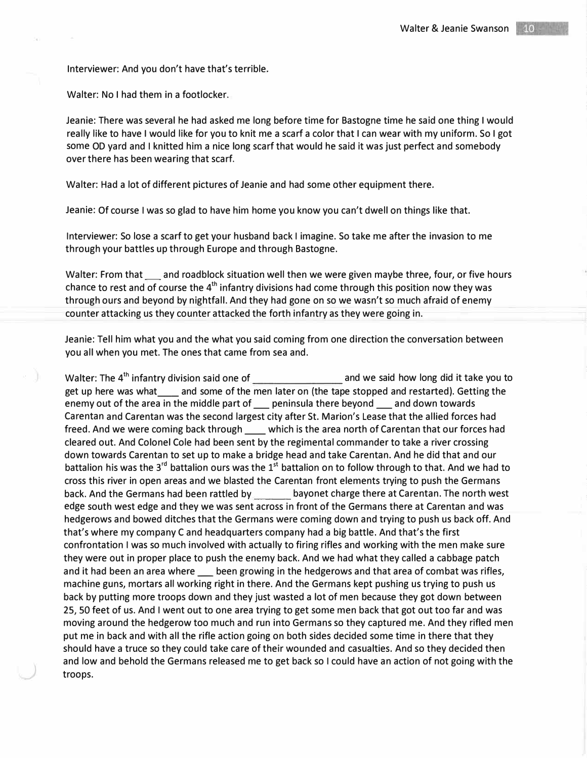Interviewer: And you don't have that's terrible.

Walter: No I had them in a footlocker.

Jeanie: There was several he had asked me long before time for Bastogne time he said one thing I would really like to have I would like for you to knit me a scarf a color that I can wear with my uniform. So I got some OD yard and I knitted him a nice long scarf that would he said it was just perfect and somebody over there has been wearing that scarf.

Walter: Had a lot of different pictures of Jeanie and had some other equipment there.

Jeanie: Of course I was so glad to have him home you know you can't dwell on things like that.

Interviewer: So lose a scarf to get your husband back I imagine. So take me after the invasion to me through your battles up through Europe and through Bastogne.

Walter: From that and roadblock situation well then we were given maybe three, four, or five hours chance to rest and of course the  $4<sup>th</sup>$  infantry divisions had come through this position now they was through ours and beyond by nightfall. And they had gone on so we wasn't so much afraid of enemy counter attacking us they counter attacked the forth infantry as they were going in.

Jeanie: Tell him what you and the what you said coming from one direction the conversation between you all when you met. The ones that came from sea and.

Walter: The 4<sup>th</sup> infantry division said one of and we said how long did it take you to get up here was what \_\_\_\_ and some of the men later on (the tape stopped and restarted). Getting the enemy out of the area in the middle part of \_\_\_ peninsula there beyond \_\_\_ and down towards Carentan and Carentan was the second largest city after St. Marion's Lease that the allied forces had freed. And we were coming back through \_\_\_\_ which is the area north of Carentan that our forces had cleared out. And Colonel Cole had been sent by the regimental commander to take a river crossing down towards Carentan to set up to make a bridge head and take Carentan. And he did that and our battalion his was the 3<sup>rd</sup> battalion ours was the 1<sup>st</sup> battalion on to follow through to that. And we had to cross this river in open areas and we blasted the Carentan front elements trying to push the Germans back. And the Germans had been rattled by successive payonet charge there at Carentan. The north west edge south west edge and they we was sent across in front of the Germans there at Carentan and was hedgerows and bowed ditches that the Germans were coming down and trying to push us back off. And that's where my company C and headquarters company had a big battle. And that's the first confrontation I was so much involved with actually to firing rifles and working with the men make sure they were out in proper place to push the enemy back. And we had what they called a cabbage patch and it had been an area where  $\_\_\_$  been growing in the hedgerows and that area of combat was rifles, machine guns, mortars all working right in there. And the Germans kept pushing us trying to push us back by putting more troops down and they just wasted a lot of men because they got down between 25, 50 feet of us. And I went out to one area trying to get some men back that got out too far and was moving around the hedgerow too much and run into Germans so they captured me. And they rifled men put me in back and with all the rifle action going on both sides decided some time in there that they should have a truce so they could take care of their wounded and casualties. And so they decided then and low and behold the Germans released me to get back so I could have an action of not going with the troops.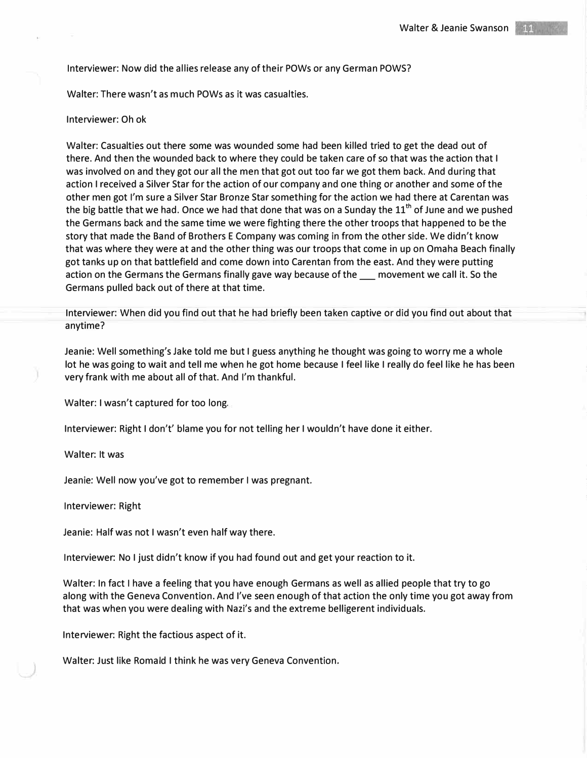Interviewer: Now did the allies release any of their POWs or any German POWS?

Walter: There wasn't as much POWs as it was casualties.

## Interviewer: Oh ok

Walter: Casualties out there some was wounded some had been killed tried to get the dead out of there. And then the wounded back to where they could be taken care of so that was the action that I was involved on and they got our all the men that got out too far we got them back. And during that action I received a Silver Star for the action of our company and one thing or another and some of the other men got I'm sure a Silver Star Bronze Star something for the action we had there at Carentan was the big battle that we had. Once we had that done that was on a Sunday the  $11<sup>th</sup>$  of June and we pushed the Germans back and the same time we were fighting there the other troops that happened to be the story that made the Band of Brothers E Company was coming in from the other side. We didn't know that was where they were at and the other thing was our troops that come in up on Omaha Beach finally got tanks up on that battlefield and come down into Carentan from the east. And they were putting action on the Germans the Germans finally gave way because of the sum ovement we call it. So the Germans pulled back out of there at that time.

Interviewer: When did you find out that he had briefly been taken captive or did you find out about that anytime?

Jeanie: Well something's Jake told me but I guess anything he thought was going to worry me a whole lot he was going to wait and tell me when he got home because I feel like I really do feel like he has been very frank with me about all of that. And I'm thankful.

Walter: I wasn't captured for too long.

Interviewer: Right I don't' blame you for not telling her I wouldn't have done it either.

Walter: It was

Jeanie: Well now you've got to remember I was pregnant.

Interviewer: Right

Jeanie: Half was not I wasn't even half way there.

Interviewer: No I just didn't know if you had found out and get your reaction to it.

Walter: In fact I have a feeling that you have enough Germans as well as allied people that try to go along with the Geneva Convention. And I've seen enough of that action the only time you got away from that was when you were dealing with Nazi's and the extreme belligerent individuals.

Interviewer: Right the factious aspect of it.

Walter: Just like Romald I think he was very Geneva Convention.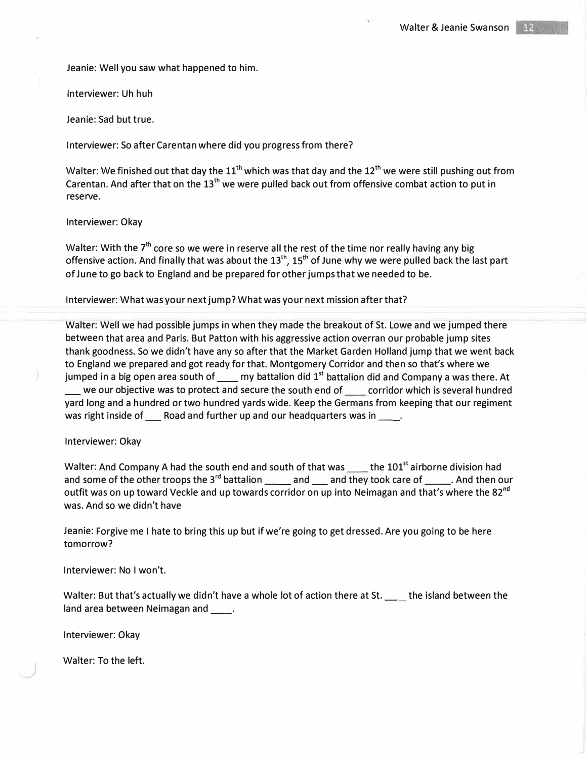Jeanie: Well you saw what happened to him.

Interviewer: Uh huh

Jeanie: Sad but true.

Interviewer: So after Carentan where did you progress from there?

Walter: We finished out that day the  $11^{\text{th}}$  which was that day and the  $12^{\text{th}}$  we were still pushing out from Carentan. And after that on the  $13<sup>th</sup>$  we were pulled back out from offensive combat action to put in reserve.

#### Interviewer: Okay

Walter: With the 7<sup>th</sup> core so we were in reserve all the rest of the time nor really having any big offensive action. And finally that was about the  $13^{\text{th}}$ ,  $15^{\text{th}}$  of June why we were pulled back the last part of June to go back to England and be prepared for other jumps that we needed to be.

Interviewer: What was your next jump? What was your next mission after that?

Walter: Well we had possible jumps in when they made the breakout of St. Lowe and we jumped there between that area and Paris. But Patton with his aggressive action overran our probable jump sites thank goodness. So we didn't have any so after that the Market Garden Holland jump that we went back to England we prepared and got ready for that. Montgomery Corridor and then so that's where we jumped in a big open area south of  $\_\_\_$  my battalion did 1<sup>st</sup> battalion did and Company a was there. At we our objective was to protect and secure the south end of \_\_\_ corridor which is several hundred yard long and a hundred or two hundred yards wide. Keep the Germans from keeping that our regiment was right inside of \_\_\_ Road and further up and our headquarters was in \_\_\_\_.

# Interviewer: Okay

Walter: And Company A had the south end and south of that was \_\_\_\_ the 101<sup>st</sup> airborne division had and some of the other troops the 3<sup>rd</sup> battalion \_\_\_\_\_ and \_\_\_ and they took care of \_\_\_\_\_. And then our outfit was on up toward Veckle and up towards corridor on up into Neimagan and that's where the 82<sup>nd</sup> was. And so we didn't have

Jeanie: Forgive me I hate to bring this up but if we're going to get dressed. Are you going to be here tomorrow?

Interviewer: No I won't.

Walter: But that's actually we didn't have a whole lot of action there at St. \_\_\_\_ the island between the land area between Neimagan and \_\_\_\_.

Interviewer: Okay

Walter: To the left.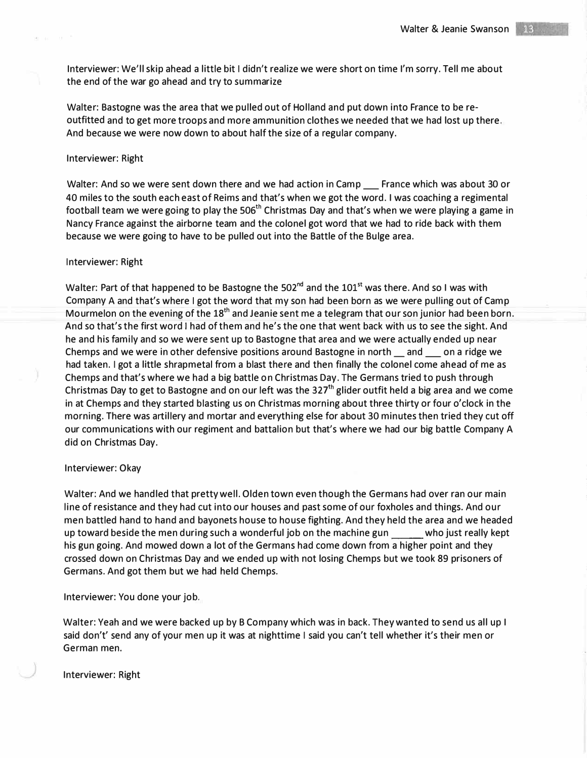Interviewer: We'll skip ahead a little bit I didn't realize we were short on time I'm sorry. Tell me about the end of the war go ahead and try to summarize

Walter: Bastogne was the area that we pulled out of Holland and put down into France to be reoutfitted and to get more troops and more ammunition clothes we needed that we had lost up there. And because we were now down to about half the size of a regular company.

#### Interviewer: Right

Walter: And so we were sent down there and we had action in Camp \_\_\_\_ France which was about 30 or 40 miles to the south each east of Reims and that's when we got the word. I was coaching a regimental football team we were going to play the 506<sup>th</sup> Christmas Day and that's when we were playing a game in Nancy France against the airborne team and the colonel got word that we had to ride back with them because we were going to have to be pulled out into the Battle of the Bulge area.

#### Interviewer: Right

Walter: Part of that happened to be Bastogne the  $502<sup>nd</sup>$  and the  $101<sup>st</sup>$  was there. And so I was with Company A and that's where I got the word that my son had been born as we were pulling out of Camp Mourmelon on the evening of the  $18^{\text{th}}$  and Jeanie sent me a telegram that our son junior had been born. And so that's the first word I had of them and he's the one that went back with us to see the sight. And he and his family and so we were sent up to Bastogne that area and we were actually ended up near Chemps and we were in other defensive positions around Bastogne in north \_\_ and \_\_\_ on a ridge we had taken. I got a little shrapmetal from a blast there and then finally the colonel come ahead of me as Chemps and that's where we had a big battle on Christmas Day. The Germans tried to push through Christmas Day to get to Bastogne and on our left was the 327<sup>th</sup> glider outfit held a big area and we come in at Chemps and they started blasting us on Christmas morning about three thirty or four o'clock in the morning. There was artillery and mortar and everything else for about 30 minutes then tried they cut off our communications with our regiment and battalion but that's where we had our big battle Company A did on Christmas Day.

#### Interviewer: Okay

Walter: And we handled that pretty well. Olden town even though the Germans had over ran our main line of resistance and they had cut into our houses and past some of our foxholes and things. And our men battled hand to hand and bayonets house to house fighting. And they held the area and we headed up toward beside the men during such a wonderful job on the machine gun who just really kept his gun going. And mowed down a lot of the Germans had come down from a higher point and they crossed down on Christmas Day and we ended up with not losing Chemps but we took 89 prisoners of Germans. And got them but we had held Chemps.

Interviewer: You done your job.

Walter: Yeah and we were backed up by B Company which was in back. They wanted to send us all up I said don't' send any of your men up it was at nighttime I said you can't tell whether it's their men or German men.

Interviewer: Right